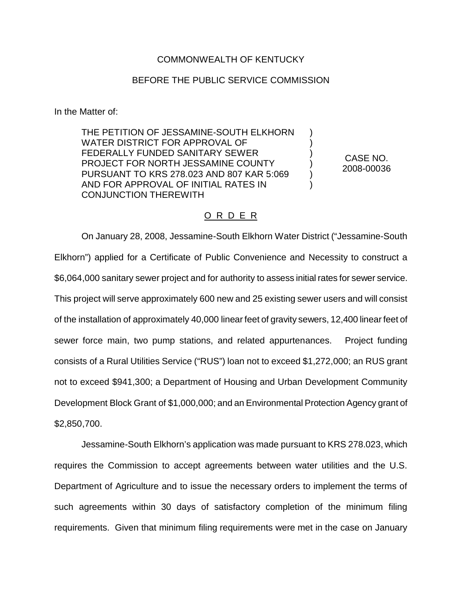# COMMONWEALTH OF KENTUCKY

## BEFORE THE PUBLIC SERVICE COMMISSION

In the Matter of:

THE PETITION OF JESSAMINE-SOUTH ELKHORN WATER DISTRICT FOR APPROVAL OF FEDERALLY FUNDED SANITARY SEWER PROJECT FOR NORTH JESSAMINE COUNTY PURSUANT TO KRS 278.023 AND 807 KAR 5:069 AND FOR APPROVAL OF INITIAL RATES IN CONJUNCTION THEREWITH

CASE NO. 2008-00036

) ) ) ) ) )

#### O R D E R

On January 28, 2008, Jessamine-South Elkhorn Water District ("Jessamine-South Elkhorn") applied for a Certificate of Public Convenience and Necessity to construct a \$6,064,000 sanitary sewer project and for authority to assess initial rates for sewer service. This project will serve approximately 600 new and 25 existing sewer users and will consist of the installation of approximately 40,000 linear feet of gravity sewers, 12,400 linear feet of sewer force main, two pump stations, and related appurtenances. Project funding consists of a Rural Utilities Service ("RUS") loan not to exceed \$1,272,000; an RUS grant not to exceed \$941,300; a Department of Housing and Urban Development Community Development Block Grant of \$1,000,000; and an Environmental Protection Agency grant of \$2,850,700.

Jessamine-South Elkhorn's application was made pursuant to KRS 278.023, which requires the Commission to accept agreements between water utilities and the U.S. Department of Agriculture and to issue the necessary orders to implement the terms of such agreements within 30 days of satisfactory completion of the minimum filing requirements. Given that minimum filing requirements were met in the case on January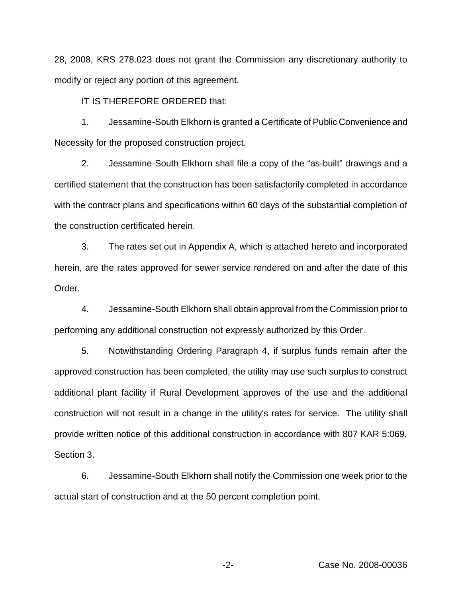28, 2008, KRS 278.023 does not grant the Commission any discretionary authority to modify or reject any portion of this agreement.

IT IS THEREFORE ORDERED that:

1. Jessamine-South Elkhorn is granted a Certificate of Public Convenience and Necessity for the proposed construction project.

2. Jessamine-South Elkhorn shall file a copy of the "as-built" drawings and a certified statement that the construction has been satisfactorily completed in accordance with the contract plans and specifications within 60 days of the substantial completion of the construction certificated herein.

3. The rates set out in Appendix A, which is attached hereto and incorporated herein, are the rates approved for sewer service rendered on and after the date of this Order.

4. Jessamine-South Elkhorn shall obtain approval from the Commission prior to performing any additional construction not expressly authorized by this Order.

5. Notwithstanding Ordering Paragraph 4, if surplus funds remain after the approved construction has been completed, the utility may use such surplus to construct additional plant facility if Rural Development approves of the use and the additional construction will not result in a change in the utility's rates for service. The utility shall provide written notice of this additional construction in accordance with 807 KAR 5:069, Section 3.

6. Jessamine-South Elkhorn shall notify the Commission one week prior to the actual start of construction and at the 50 percent completion point.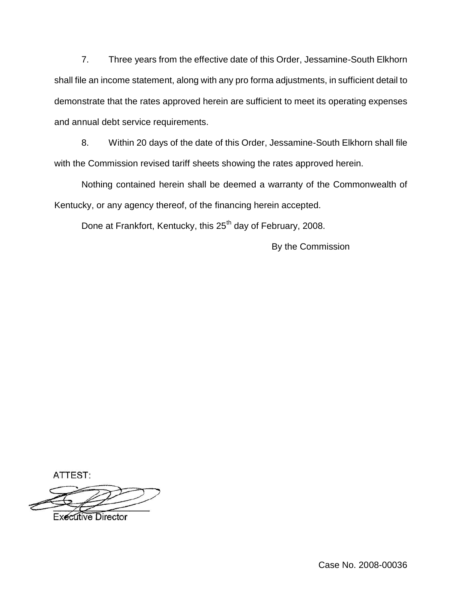7. Three years from the effective date of this Order, Jessamine-South Elkhorn shall file an income statement, along with any pro forma adjustments, in sufficient detail to demonstrate that the rates approved herein are sufficient to meet its operating expenses and annual debt service requirements.

8. Within 20 days of the date of this Order, Jessamine-South Elkhorn shall file with the Commission revised tariff sheets showing the rates approved herein.

Nothing contained herein shall be deemed a warranty of the Commonwealth of Kentucky, or any agency thereof, of the financing herein accepted.

Done at Frankfort, Kentucky, this 25<sup>th</sup> day of February, 2008.

By the Commission

ATTEST:

**Executive Director** 

Case No. 2008-00036